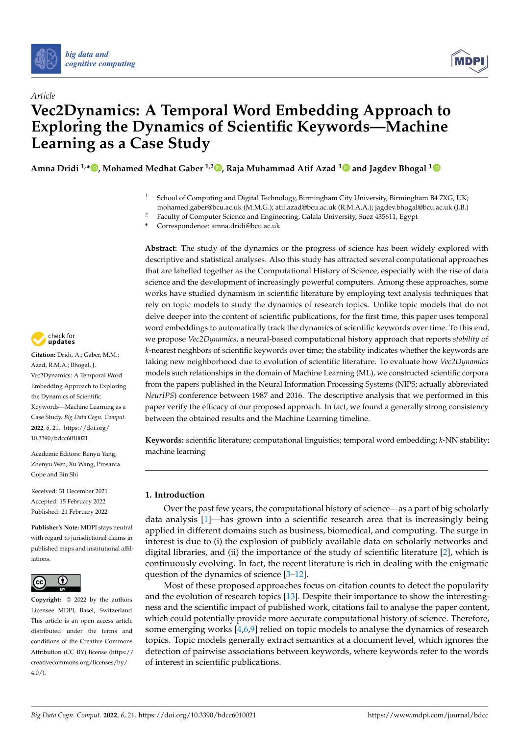

*Article*



# **Vec2Dynamics: A Temporal Word Embedding Approach to Exploring the Dynamics of Scientific Keywords—Machine Learning as a Case Study**

**Amna Dridi 1,[\\*](https://orcid.org/0000-0002-0185-103X) , Mohamed Medhat Gaber 1,2 [,](https://orcid.org/0000-0003-0339-4474) Raja Muhammad Atif Azad [1](https://orcid.org/0000-0002-4013-5415) and Jagdev Bhogal [1](https://orcid.org/0000-0002-1160-9140)**

- <sup>1</sup> School of Computing and Digital Technology, Birmingham City University, Birmingham B4 7XG, UK; mohamed.gaber@bcu.ac.uk (M.M.G.); atif.azad@bcu.ac.uk (R.M.A.A.); jagdev.bhogal@bcu.ac.uk (J.B.)
- <sup>2</sup> Faculty of Computer Science and Engineering, Galala University, Suez 435611, Egypt
- **\*** Correspondence: amna.dridi@bcu.ac.uk

**Abstract:** The study of the dynamics or the progress of science has been widely explored with descriptive and statistical analyses. Also this study has attracted several computational approaches that are labelled together as the Computational History of Science, especially with the rise of data science and the development of increasingly powerful computers. Among these approaches, some works have studied dynamism in scientific literature by employing text analysis techniques that rely on topic models to study the dynamics of research topics. Unlike topic models that do not delve deeper into the content of scientific publications, for the first time, this paper uses temporal word embeddings to automatically track the dynamics of scientific keywords over time. To this end, we propose *Vec2Dynamics*, a neural-based computational history approach that reports *stability* of *k*-nearest neighbors of scientific keywords over time; the stability indicates whether the keywords are taking new neighborhood due to evolution of scientific literature. To evaluate how *Vec2Dynamics* models such relationships in the domain of Machine Learning (ML), we constructed scientific corpora from the papers published in the Neural Information Processing Systems (NIPS; actually abbreviated *NeurIPS*) conference between 1987 and 2016. The descriptive analysis that we performed in this paper verify the efficacy of our proposed approach. In fact, we found a generally strong consistency between the obtained results and the Machine Learning timeline.

**Keywords:** scientific literature; computational linguistics; temporal word embedding; *k*-NN stability; machine learning

## **1. Introduction**

Over the past few years, the computational history of science—as a part of big scholarly data analysis [\[1\]](#page-14-0)—has grown into a scientific research area that is increasingly being applied in different domains such as business, biomedical, and computing. The surge in interest is due to (i) the explosion of publicly available data on scholarly networks and digital libraries, and (ii) the importance of the study of scientific literature [\[2\]](#page-14-1), which is continuously evolving. In fact, the recent literature is rich in dealing with the enigmatic question of the dynamics of science [\[3–](#page-14-2)[12\]](#page-15-0).

Most of these proposed approaches focus on citation counts to detect the popularity and the evolution of research topics [\[13\]](#page-15-1). Despite their importance to show the interestingness and the scientific impact of published work, citations fail to analyse the paper content, which could potentially provide more accurate computational history of science. Therefore, some emerging works [\[4](#page-14-3)[,6,](#page-14-4)[9\]](#page-15-2) relied on topic models to analyse the dynamics of research topics. Topic models generally extract semantics at a document level, which ignores the detection of pairwise associations between keywords, where keywords refer to the words of interest in scientific publications.



**Citation:** Dridi, A.; Gaber, M.M.; Azad, R.M.A.; Bhogal, J. Vec2Dynamics: A Temporal Word Embedding Approach to Exploring the Dynamics of Scientific Keywords—Machine Learning as a Case Study. *Big Data Cogn. Comput.* **2022**, *6*, 21. [https://doi.org/](https://doi.org/10.3390/bdcc6010021) [10.3390/bdcc6010021](https://doi.org/10.3390/bdcc6010021)

Academic Editors: Renyu Yang, Zhenyu Wen, Xu Wang, Prosanta Gope and Bin Shi

Received: 31 December 2021 Accepted: 15 February 2022 Published: 21 February 2022

**Publisher's Note:** MDPI stays neutral with regard to jurisdictional claims in published maps and institutional affiliations.



**Copyright:** © 2022 by the authors. Licensee MDPI, Basel, Switzerland. This article is an open access article distributed under the terms and conditions of the Creative Commons Attribution (CC BY) license [\(https://](https://creativecommons.org/licenses/by/4.0/) [creativecommons.org/licenses/by/](https://creativecommons.org/licenses/by/4.0/)  $4.0/$ ).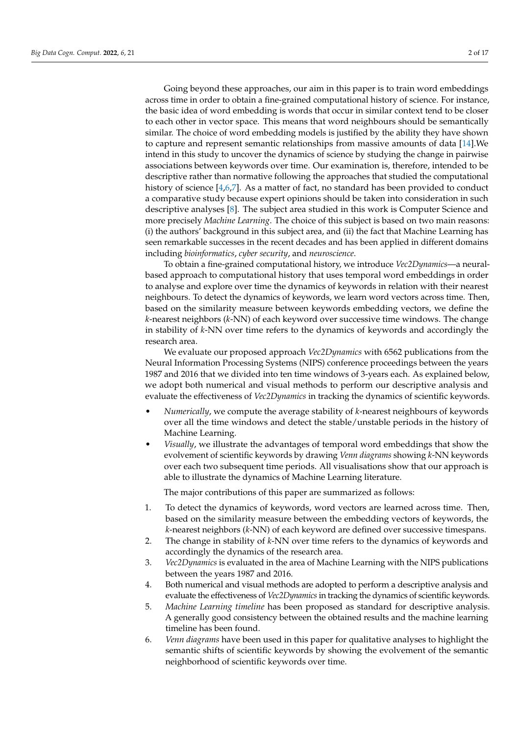Going beyond these approaches, our aim in this paper is to train word embeddings across time in order to obtain a fine-grained computational history of science. For instance, the basic idea of word embedding is words that occur in similar context tend to be closer to each other in vector space. This means that word neighbours should be semantically similar. The choice of word embedding models is justified by the ability they have shown to capture and represent semantic relationships from massive amounts of data [\[14\]](#page-15-3).We intend in this study to uncover the dynamics of science by studying the change in pairwise associations between keywords over time. Our examination is, therefore, intended to be descriptive rather than normative following the approaches that studied the computational history of science [\[4](#page-14-3)[,6,](#page-14-4)[7\]](#page-15-4). As a matter of fact, no standard has been provided to conduct a comparative study because expert opinions should be taken into consideration in such descriptive analyses [\[8\]](#page-15-5). The subject area studied in this work is Computer Science and more precisely *Machine Learning*. The choice of this subject is based on two main reasons: (i) the authors' background in this subject area, and (ii) the fact that Machine Learning has seen remarkable successes in the recent decades and has been applied in different domains including *bioinformatics*, *cyber security*, and *neuroscience*.

To obtain a fine-grained computational history, we introduce *Vec2Dynamics*—a neuralbased approach to computational history that uses temporal word embeddings in order to analyse and explore over time the dynamics of keywords in relation with their nearest neighbours. To detect the dynamics of keywords, we learn word vectors across time. Then, based on the similarity measure between keywords embedding vectors, we define the *k*-nearest neighbors (*k*-NN) of each keyword over successive time windows. The change in stability of *k*-NN over time refers to the dynamics of keywords and accordingly the research area.

We evaluate our proposed approach *Vec2Dynamics* with 6562 publications from the Neural Information Processing Systems (NIPS) conference proceedings between the years 1987 and 2016 that we divided into ten time windows of 3-years each. As explained below, we adopt both numerical and visual methods to perform our descriptive analysis and evaluate the effectiveness of *Vec2Dynamics* in tracking the dynamics of scientific keywords.

- *Numerically*, we compute the average stability of *k*-nearest neighbours of keywords over all the time windows and detect the stable/unstable periods in the history of Machine Learning.
- *Visually*, we illustrate the advantages of temporal word embeddings that show the evolvement of scientific keywords by drawing *Venn diagrams* showing *k*-NN keywords over each two subsequent time periods. All visualisations show that our approach is able to illustrate the dynamics of Machine Learning literature.

The major contributions of this paper are summarized as follows:

- 1. To detect the dynamics of keywords, word vectors are learned across time. Then, based on the similarity measure between the embedding vectors of keywords, the *k*-nearest neighbors (*k*-NN) of each keyword are defined over successive timespans.
- 2. The change in stability of *k*-NN over time refers to the dynamics of keywords and accordingly the dynamics of the research area.
- 3. *Vec2Dynamics* is evaluated in the area of Machine Learning with the NIPS publications between the years 1987 and 2016.
- 4. Both numerical and visual methods are adopted to perform a descriptive analysis and evaluate the effectiveness of *Vec2Dynamics*in tracking the dynamics of scientific keywords.
- 5. *Machine Learning timeline* has been proposed as standard for descriptive analysis. A generally good consistency between the obtained results and the machine learning timeline has been found.
- 6. *Venn diagrams* have been used in this paper for qualitative analyses to highlight the semantic shifts of scientific keywords by showing the evolvement of the semantic neighborhood of scientific keywords over time.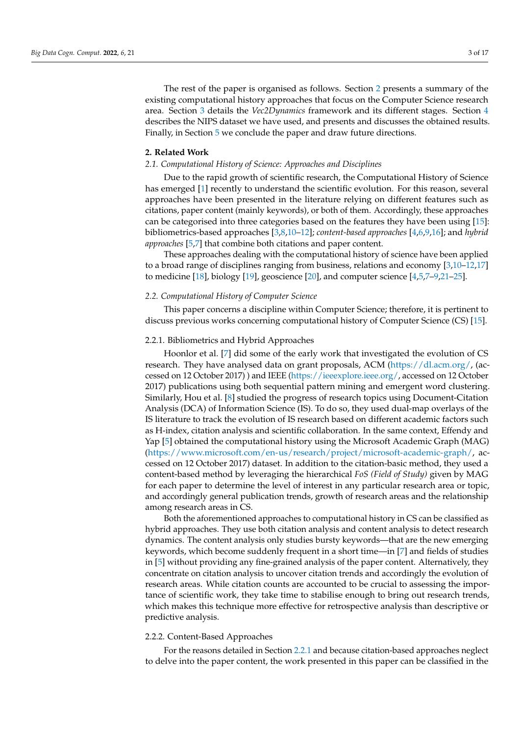The rest of the paper is organised as follows. Section [2](#page-2-0) presents a summary of the existing computational history approaches that focus on the Computer Science research area. Section [3](#page-4-0) details the *Vec2Dynamics* framework and its different stages. Section [4](#page-8-0) describes the NIPS dataset we have used, and presents and discusses the obtained results. Finally, in Section [5](#page-13-0) we conclude the paper and draw future directions.

#### <span id="page-2-0"></span>**2. Related Work**

#### *2.1. Computational History of Science: Approaches and Disciplines*

Due to the rapid growth of scientific research, the Computational History of Science has emerged [\[1\]](#page-14-0) recently to understand the scientific evolution. For this reason, several approaches have been presented in the literature relying on different features such as citations, paper content (mainly keywords), or both of them. Accordingly, these approaches can be categorised into three categories based on the features they have been using [\[15\]](#page-15-6): bibliometrics-based approaches [\[3,](#page-14-2)[8,](#page-15-5)[10](#page-15-7)[–12\]](#page-15-0); *content-based approaches* [\[4](#page-14-3)[,6](#page-14-4)[,9](#page-15-2)[,16\]](#page-15-8); and *hybrid approaches* [\[5](#page-14-5)[,7\]](#page-15-4) that combine both citations and paper content.

These approaches dealing with the computational history of science have been applied to a broad range of disciplines ranging from business, relations and economy [\[3,](#page-14-2)[10–](#page-15-7)[12,](#page-15-0)[17\]](#page-15-9) to medicine [\[18\]](#page-15-10), biology [\[19\]](#page-15-11), geoscience [\[20\]](#page-15-12), and computer science  $[4,5,7-9,21-25]$  $[4,5,7-9,21-25]$  $[4,5,7-9,21-25]$  $[4,5,7-9,21-25]$  $[4,5,7-9,21-25]$  $[4,5,7-9,21-25]$ .

#### *2.2. Computational History of Computer Science*

This paper concerns a discipline within Computer Science; therefore, it is pertinent to discuss previous works concerning computational history of Computer Science (CS) [\[15\]](#page-15-6).

#### <span id="page-2-1"></span>2.2.1. Bibliometrics and Hybrid Approaches

Hoonlor et al. [\[7\]](#page-15-4) did some of the early work that investigated the evolution of CS research. They have analysed data on grant proposals, ACM [\(https://dl.acm.org/,](https://dl.acm.org/) (accessed on 12 October 2017) ) and IEEE [\(https://ieeexplore.ieee.org/,](https://ieeexplore.ieee.org/) accessed on 12 October 2017) publications using both sequential pattern mining and emergent word clustering. Similarly, Hou et al. [\[8\]](#page-15-5) studied the progress of research topics using Document-Citation Analysis (DCA) of Information Science (IS). To do so, they used dual-map overlays of the IS literature to track the evolution of IS research based on different academic factors such as H-index, citation analysis and scientific collaboration. In the same context, Effendy and Yap [\[5\]](#page-14-5) obtained the computational history using the Microsoft Academic Graph (MAG) [\(https://www.microsoft.com/en-us/research/project/microsoft-academic-graph/,](https://www.microsoft.com/en-us/research/project/microsoft-academic-graph/) accessed on 12 October 2017) dataset. In addition to the citation-basic method, they used a content-based method by leveraging the hierarchical *FoS (Field of Study)* given by MAG for each paper to determine the level of interest in any particular research area or topic, and accordingly general publication trends, growth of research areas and the relationship among research areas in CS.

Both the aforementioned approaches to computational history in CS can be classified as hybrid approaches. They use both citation analysis and content analysis to detect research dynamics. The content analysis only studies bursty keywords—that are the new emerging keywords, which become suddenly frequent in a short time—in [\[7\]](#page-15-4) and fields of studies in [\[5\]](#page-14-5) without providing any fine-grained analysis of the paper content. Alternatively, they concentrate on citation analysis to uncover citation trends and accordingly the evolution of research areas. While citation counts are accounted to be crucial to assessing the importance of scientific work, they take time to stabilise enough to bring out research trends, which makes this technique more effective for retrospective analysis than descriptive or predictive analysis.

#### 2.2.2. Content-Based Approaches

For the reasons detailed in Section [2.2.1](#page-2-1) and because citation-based approaches neglect to delve into the paper content, the work presented in this paper can be classified in the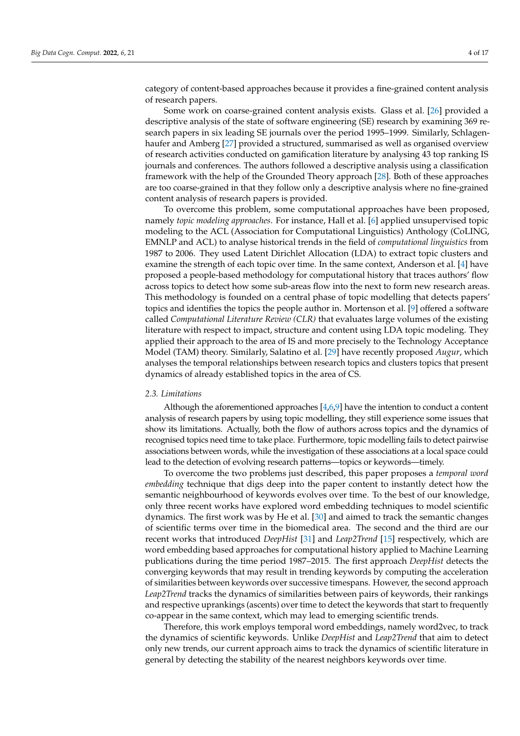category of content-based approaches because it provides a fine-grained content analysis of research papers.

Some work on coarse-grained content analysis exists. Glass et al. [\[26\]](#page-15-15) provided a descriptive analysis of the state of software engineering (SE) research by examining 369 research papers in six leading SE journals over the period 1995–1999. Similarly, Schlagenhaufer and Amberg [\[27\]](#page-15-16) provided a structured, summarised as well as organised overview of research activities conducted on gamification literature by analysing 43 top ranking IS journals and conferences. The authors followed a descriptive analysis using a classification framework with the help of the Grounded Theory approach [\[28\]](#page-15-17). Both of these approaches are too coarse-grained in that they follow only a descriptive analysis where no fine-grained content analysis of research papers is provided.

To overcome this problem, some computational approaches have been proposed, namely *topic modeling approaches*. For instance, Hall et al. [\[6\]](#page-14-4) applied unsupervised topic modeling to the ACL (Association for Computational Linguistics) Anthology (CoLING, EMNLP and ACL) to analyse historical trends in the field of *computational linguistics* from 1987 to 2006. They used Latent Dirichlet Allocation (LDA) to extract topic clusters and examine the strength of each topic over time. In the same context, Anderson et al. [\[4\]](#page-14-3) have proposed a people-based methodology for computational history that traces authors' flow across topics to detect how some sub-areas flow into the next to form new research areas. This methodology is founded on a central phase of topic modelling that detects papers' topics and identifies the topics the people author in. Mortenson et al. [\[9\]](#page-15-2) offered a software called *Computational Literature Review (CLR)* that evaluates large volumes of the existing literature with respect to impact, structure and content using LDA topic modeling. They applied their approach to the area of IS and more precisely to the Technology Acceptance Model (TAM) theory. Similarly, Salatino et al. [\[29\]](#page-15-18) have recently proposed *Augur*, which analyses the temporal relationships between research topics and clusters topics that present dynamics of already established topics in the area of CS.

#### *2.3. Limitations*

Although the aforementioned approaches [\[4,](#page-14-3)[6,](#page-14-4)[9\]](#page-15-2) have the intention to conduct a content analysis of research papers by using topic modelling, they still experience some issues that show its limitations. Actually, both the flow of authors across topics and the dynamics of recognised topics need time to take place. Furthermore, topic modelling fails to detect pairwise associations between words, while the investigation of these associations at a local space could lead to the detection of evolving research patterns—topics or keywords—timely.

To overcome the two problems just described, this paper proposes a *temporal word embedding* technique that digs deep into the paper content to instantly detect how the semantic neighbourhood of keywords evolves over time. To the best of our knowledge, only three recent works have explored word embedding techniques to model scientific dynamics. The first work was by He et al. [\[30\]](#page-15-19) and aimed to track the semantic changes of scientific terms over time in the biomedical area. The second and the third are our recent works that introduced *DeepHist* [\[31\]](#page-15-20) and *Leap2Trend* [\[15\]](#page-15-6) respectively, which are word embedding based approaches for computational history applied to Machine Learning publications during the time period 1987–2015. The first approach *DeepHist* detects the converging keywords that may result in trending keywords by computing the acceleration of similarities between keywords over successive timespans. However, the second approach *Leap2Trend* tracks the dynamics of similarities between pairs of keywords, their rankings and respective uprankings (ascents) over time to detect the keywords that start to frequently co-appear in the same context, which may lead to emerging scientific trends.

Therefore, this work employs temporal word embeddings, namely word2vec, to track the dynamics of scientific keywords. Unlike *DeepHist* and *Leap2Trend* that aim to detect only new trends, our current approach aims to track the dynamics of scientific literature in general by detecting the stability of the nearest neighbors keywords over time.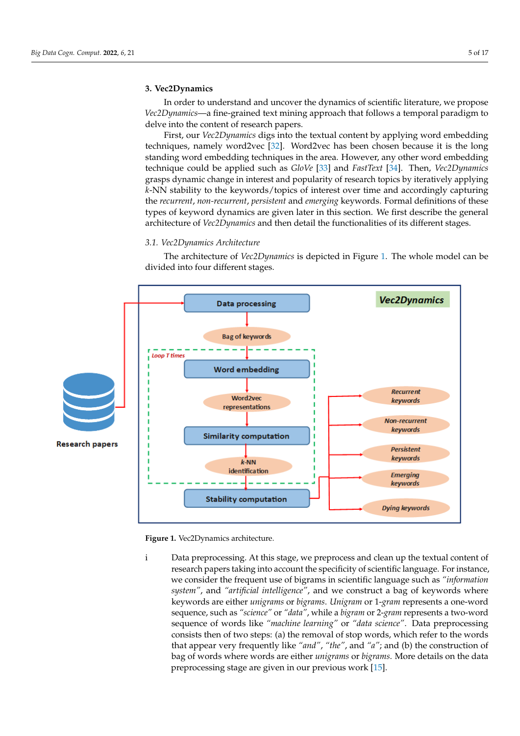#### <span id="page-4-0"></span>**3. Vec2Dynamics**

In order to understand and uncover the dynamics of scientific literature, we propose *Vec2Dynamics*—a fine-grained text mining approach that follows a temporal paradigm to delve into the content of research papers.

First, our *Vec2Dynamics* digs into the textual content by applying word embedding techniques, namely word2vec [\[32\]](#page-15-21). Word2vec has been chosen because it is the long standing word embedding techniques in the area. However, any other word embedding technique could be applied such as *GloVe* [\[33\]](#page-15-22) and *FastText* [\[34\]](#page-15-23). Then, *Vec2Dynamics* grasps dynamic change in interest and popularity of research topics by iteratively applying *k*-NN stability to the keywords/topics of interest over time and accordingly capturing the *recurrent*, *non-recurrent*, *persistent* and *emerging* keywords. Formal definitions of these types of keyword dynamics are given later in this section. We first describe the general architecture of *Vec2Dynamics* and then detail the functionalities of its different stages.

## <span id="page-4-2"></span>*3.1. Vec2Dynamics Architecture*

<span id="page-4-1"></span>The architecture of *Vec2Dynamics* is depicted in Figure [1.](#page-4-1) The whole model can be divided into four different stages.



**Figure 1.** Vec2Dynamics architecture.

i Data preprocessing. At this stage, we preprocess and clean up the textual content of research papers taking into account the specificity of scientific language. For instance, we consider the frequent use of bigrams in scientific language such as *"information system"*, and *"artificial intelligence"*, and we construct a bag of keywords where keywords are either *unigrams* or *bigrams*. *Unigram* or 1-*gram* represents a one-word sequence, such as *"science"* or *"data"*, while a *bigram* or 2-*gram* represents a two-word sequence of words like *"machine learning"* or *"data science"*. Data preprocessing consists then of two steps: (a) the removal of stop words, which refer to the words that appear very frequently like *"and"*, *"the"*, and *"a"*; and (b) the construction of bag of words where words are either *unigrams* or *bigrams*. More details on the data preprocessing stage are given in our previous work [\[15\]](#page-15-6).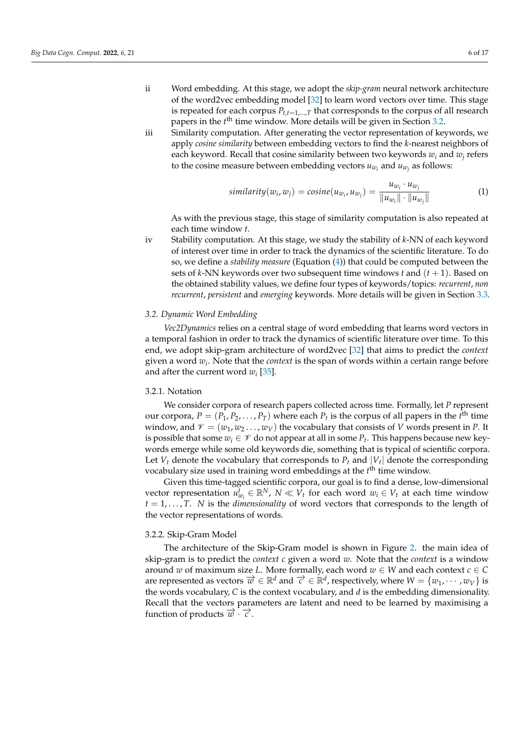- ii Word embedding. At this stage, we adopt the *skip-gram* neural network architecture of the word2vec embedding model [\[32\]](#page-15-21) to learn word vectors over time. This stage is repeated for each corpus  $P_{t,t=1,\dots,T}$  that corresponds to the corpus of all research papers in the *t*<sup>th</sup> time window. More details will be given in Section [3.2.](#page-5-0)
- iii Similarity computation. After generating the vector representation of keywords, we apply *cosine similarity* between embedding vectors to find the *k*-nearest neighbors of each keyword. Recall that cosine similarity between two keywords *w<sup>i</sup>* and *w<sup>j</sup>* refers to the cosine measure between embedding vectors  $u_{w_i}$  and  $u_{w_j}$  as follows:

<span id="page-5-1"></span>
$$
similarity(w_i, w_j) = cosine(u_{w_i}, u_{w_j}) = \frac{u_{w_i} \cdot u_{w_j}}{\|u_{w_i}\| \cdot \|u_{w_j}\|}
$$
(1)

As with the previous stage, this stage of similarity computation is also repeated at each time window *t*.

iv Stability computation. At this stage, we study the stability of *k*-NN of each keyword of interest over time in order to track the dynamics of the scientific literature. To do so, we define a *stability measure* (Equation [\(4\)](#page-7-0)) that could be computed between the sets of *k*-NN keywords over two subsequent time windows *t* and (*t* + 1). Based on the obtained stability values, we define four types of keywords/topics: *recurrent*, *non recurrent*, *persistent* and *emerging* keywords. More details will be given in Section [3.3.](#page-6-0)

### <span id="page-5-0"></span>*3.2. Dynamic Word Embedding*

*Vec2Dynamics* relies on a central stage of word embedding that learns word vectors in a temporal fashion in order to track the dynamics of scientific literature over time. To this end, we adopt skip-gram architecture of word2vec [\[32\]](#page-15-21) that aims to predict the *context* given a word *w<sup>i</sup>* . Note that the *context* is the span of words within a certain range before and after the current word  $w_i$  [\[35\]](#page-15-24).

#### 3.2.1. Notation

We consider corpora of research papers collected across time. Formally, let *P* represent our corpora,  $P = (P_1, P_2, \ldots, P_T)$  where each  $P_t$  is the corpus of all papers in the  $t^{\text{th}}$  time window, and  $\mathcal{V} = (w_1, w_2, \dots, w_V)$  the vocabulary that consists of *V* words present in *P*. It is possible that some  $w_i \in \mathscr{V}$  do not appear at all in some  $P_t$ . This happens because new keywords emerge while some old keywords die, something that is typical of scientific corpora. Let  $V_t$  denote the vocabulary that corresponds to  $P_t$  and  $|V_t|$  denote the corresponding vocabulary size used in training word embeddings at the *t*<sup>th</sup> time window.

Given this time-tagged scientific corpora, our goal is to find a dense, low-dimensional vector representation  $u_{w_i}^t \in \mathbb{R}^N$ ,  $N \ll V_t$  for each word  $w_i \in V_t$  at each time window  $t = 1, \ldots, T$ . *N* is the *dimensionality* of word vectors that corresponds to the length of the vector representations of words.

#### 3.2.2. Skip-Gram Model

The architecture of the Skip-Gram model is shown in Figure [2.](#page-6-1) the main idea of skip-gram is to predict the *context c* given a word *w*. Note that the *context* is a window around *w* of maximum size *L*. More formally, each word  $w \in W$  and each context  $c \in C$ are represented as vectors  $\vec{w} \in \mathbb{R}^d$  and  $\vec{c} \in \mathbb{R}^d$ , respectively, where  $W = \{w_1, \dots, w_V\}$  is the words vocabulary, *C* is the context vocabulary, and *d* is the embedding dimensionality. Recall that the vectors parameters are latent and need to be learned by maximising a function of products  $\overrightarrow{w} \cdot \overrightarrow{c}$ .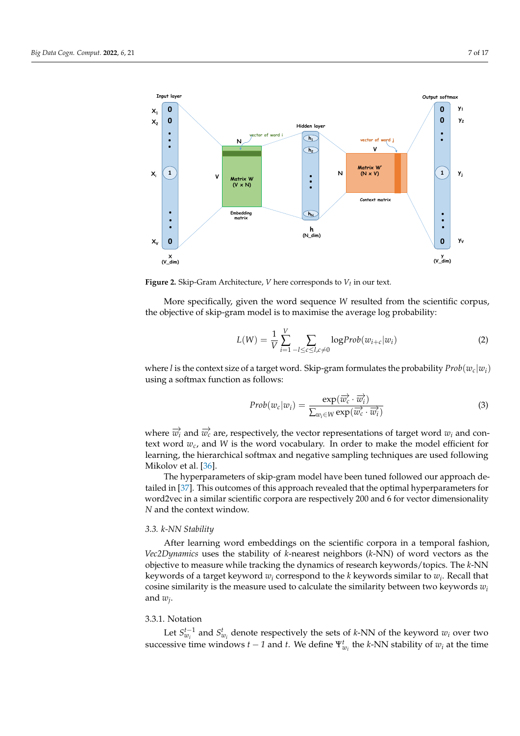<span id="page-6-1"></span>

**Figure 2.** Skip-Gram Architecture, *V* here corresponds to *Vt* in our text.

More specifically, given the word sequence *W* resulted from the scientific corpus, the objective of skip-gram model is to maximise the average log probability:

$$
L(W) = \frac{1}{V} \sum_{i=1}^{V} \sum_{-l \le c \le l, c \ne 0} \log Prob(w_{i+c}|w_i)
$$
 (2)

where *l* is the context size of a target word. Skip-gram formulates the probability  $Prob(w_c|w_i)$ using a softmax function as follows:

$$
Prob(w_c|w_i) = \frac{\exp(\overrightarrow{w_c} \cdot \overrightarrow{w_i})}{\sum_{w_i \in W} \exp(\overrightarrow{w_c} \cdot \overrightarrow{w_i})}
$$
(3)

where  $\overrightarrow{w_i}$  and  $\overrightarrow{w_c}$  are, respectively, the vector representations of target word  $w_i$  and context word *wc*, and *W* is the word vocabulary. In order to make the model efficient for learning, the hierarchical softmax and negative sampling techniques are used following Mikolov et al. [\[36\]](#page-16-0).

The hyperparameters of skip-gram model have been tuned followed our approach detailed in [\[37\]](#page-16-1). This outcomes of this approach revealed that the optimal hyperparameters for word2vec in a similar scientific corpora are respectively 200 and 6 for vector dimensionality *N* and the context window.

## <span id="page-6-0"></span>*3.3. k-NN Stability*

After learning word embeddings on the scientific corpora in a temporal fashion, *Vec2Dynamics* uses the stability of *k*-nearest neighbors (*k*-NN) of word vectors as the objective to measure while tracking the dynamics of research keywords/topics. The *k*-NN keywords of a target keyword *w<sup>i</sup>* correspond to the *k* keywords similar to *w<sup>i</sup>* . Recall that cosine similarity is the measure used to calculate the similarity between two keywords  $w_i$ and *w<sup>j</sup>* .

## 3.3.1. Notation

Let  $S_{w_i}^{t-1}$  and  $S_{w_i}^t$  denote respectively the sets of *k*-NN of the keyword  $w_i$  over two successive time windows *t* − *1* and *t*. We define  $\Psi^t_{w_i}$  the *k*-NN stability of  $w_i$  at the time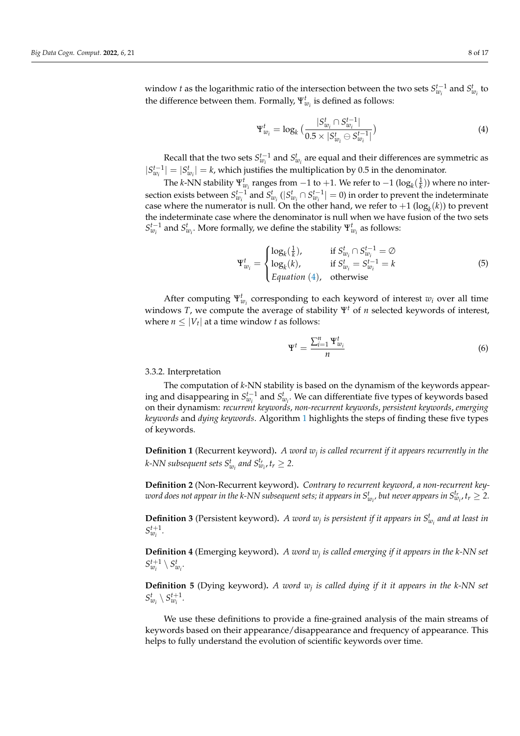window *t* as the logarithmic ratio of the intersection between the two sets  $S_{w_i}^{t-1}$  and  $S_{w_i}^t$  to the difference between them. Formally,  $\Psi_{w_i}^t$  is defined as follows:

<span id="page-7-0"></span>
$$
\Psi_{w_i}^t = \log_k \big( \frac{|S_{w_i}^t \cap S_{w_i}^{t-1}|}{0.5 \times |S_{w_i}^t \ominus S_{w_i}^{t-1}|} \big) \tag{4}
$$

Recall that the two sets  $S_{w_i}^{t-1}$  and  $S_{w_i}^t$  are equal and their differences are symmetric as  $|S_{w_i}^{t-1}| = |S_{w_i}^t| = k$ , which justifies the multiplication by 0.5 in the denominator.

The *k*-NN stability  $\Psi_{w_i}^t$  ranges from −1 to +1. We refer to −1 (log<sub>*k*</sub>( $\frac{1}{k}$ )) where no intersection exists between  $S_{w_i}^{t-1}$  and  $S_{w_i}^t$  ( $|S_{w_i}^t \cap S_{w_i}^{t-1}| = 0$ ) in order to prevent the indeterminate case where the numerator is null. On the other hand, we refer to  $+1$   $(\log_k(k))$  to prevent the indeterminate case where the denominator is null when we have fusion of the two sets  $S_{w_i}^{t-1}$  and  $S_{w_i}^t$ . More formally, we define the stability  $\Psi_{w_i}^t$  as follows:

$$
\Psi_{w_i}^t = \begin{cases}\n\log_k(\frac{1}{k}), & \text{if } S_{w_i}^t \cap S_{w_i}^{t-1} = \varnothing \\
\log_k(k), & \text{if } S_{w_i}^t = S_{w_i}^{t-1} = k \\
\text{Equation (4), otherwise}\n\end{cases}
$$
\n(5)

After computing  $\Psi_{w_i}^t$  corresponding to each keyword of interest  $w_i$  over all time windows *T*, we compute the average of stability Ψ*<sup>t</sup>* of *n* selected keywords of interest, where  $n \leq |V_t|$  at a time window *t* as follows:

<span id="page-7-1"></span>
$$
\Psi^t = \frac{\sum_{i=1}^n \Psi_{w_i}^t}{n} \tag{6}
$$

#### 3.3.2. Interpretation

The computation of *k*-NN stability is based on the dynamism of the keywords appearing and disappearing in  $S_{w_i}^{t-1}$  and  $S_{w_i}^t$ . We can differentiate five types of keywords based on their dynamism: *recurrent keywords*, *non-recurrent keywords*, *persistent keywords*, *emerging keywords* and *dying keywords*. Algorithm [1](#page-8-1) highlights the steps of finding these five types of keywords.

**Definition 1** (Recurrent keyword)**.** *A word w<sup>j</sup> is called recurrent if it appears recurrently in the k*-NN subsequent sets  $S_{w_i}^t$  and  $S_{w_i}^{t_r}$ ,  $t_r \geq 2$ .

**Definition 2** (Non-Recurrent keyword)**.** *Contrary to recurrent keyword, a non-recurrent key* $w$  *word does not appear in the k-NN subsequent sets; it appears in*  $S^t_{w_i}$ *, but never appears in*  $S^{t_r}_{w_i}$ *,*  $t_r\geq 2.$ 

**Definition 3** (Persistent keyword). A word  $w_j$  is persistent if it appears in  $S_{w_i}^t$  and at least in  $S_{w_i}^{t+1}$ .

**Definition 4** (Emerging keyword)**.** *A word w<sup>j</sup> is called emerging if it appears in the k-NN set*  $S_{w_i}^{t+1} \setminus S_{w_i}^t$ .

**Definition 5** (Dying keyword)**.** *A word w<sup>j</sup> is called dying if it it appears in the k-NN set*  $S_{w_i}^t \setminus S_{w_i}^{t+1}$ .

We use these definitions to provide a fine-grained analysis of the main streams of keywords based on their appearance/disappearance and frequency of appearance. This helps to fully understand the evolution of scientific keywords over time.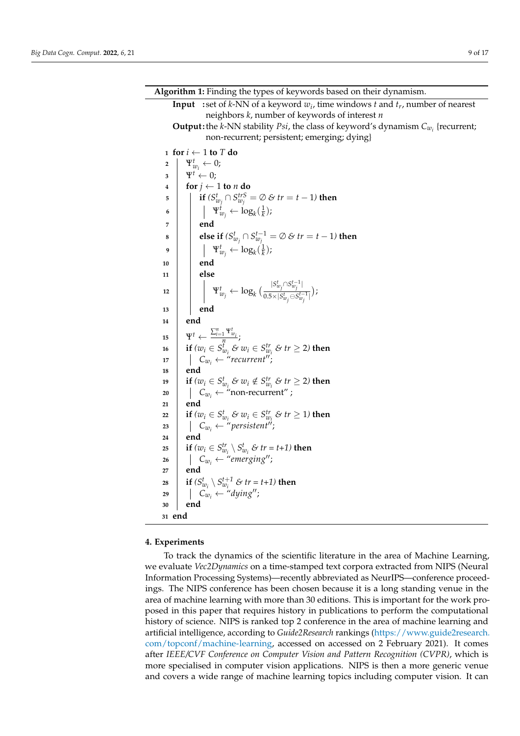<span id="page-8-1"></span>**Input :** set of *k*-NN of a keyword *w<sup>i</sup>* , time windows *t* and *t<sup>r</sup>* , number of nearest neighbors *k*, number of keywords of interest *n* **Output :**the *k*-NN stability *Psi*, the class of keyword's dynamism *Cw<sup>i</sup>* {recurrent; non-recurrent; persistent; emerging; dying} **<sup>1</sup> for** *i* ← 1 **to** *T* **do**  $\mathbf{2} \quad | \quad \mathbf{Y}_{w_i}^t \leftarrow 0;$ **3**  $\qquad \Psi^t \leftarrow 0;$ **4 for**  $j \leftarrow 1$  **to** *n* **do 5**  $\begin{bmatrix} \mathbf{i} \mathbf{f} \ (S_{w_j}^t \cap S_{w_j}^{trS} = \varnothing \ \mathcal{E} \ tr = t-1 \end{bmatrix}$  then  $\mathbf{p} \parallel \mathbf{p} \parallel \mathbf{w}_y^t \leftarrow \log_k(\frac{1}{k});$ **7 end 8**  $\qquad \qquad$  **else if**  $(S_{w_j}^t \cap S_{w_j}^{t-1} = \emptyset \& tr = t-1)$  then  $\mathsf{P} \left[\begin{array}{c} \mathsf{P}^t_{w_j} \leftarrow \log_k(\frac{1}{k}); \end{array}\right]$ **10 end 11 else**  $\mathbf{Y}_{w_j}^t \leftarrow \log_k \big( \frac{|S_{w_j}^t \cap S_{w_j}^{t-1}|}{0.5 \times |S_{w_i}^t \cap S_{w_j}^{t-1}|} \big)$  $\frac{w_j-w_j}{0.5\times|S^t_{w_j}\ominus S^{t-1}_{w_j}|}),$ **<sup>13</sup> end <sup>14</sup> end**  $\mathbf{Y}^t \leftarrow \frac{\sum_{i=1}^n \mathbf{Y}_{w_i}^t}{n}$ **16**  $\left| \quad \textbf{if} \ (w_i \in S_{w_i}^t \ \mathcal{E} \ w_i \in S_{w_i}^t \ \mathcal{E} \ tr \geq 2 \text{)} \ \textbf{then} \right|$  $\begin{array}{c|c} \n\text{I7} & \n\end{array}$   $\begin{array}{c} \n\end{array}$   $\begin{array}{c} \n\text{C}_{w_i} \leftarrow \text{``recurrent''}; \n\end{array}$ **<sup>18</sup> end 19 if**  $(w_i \in S_{w_i}^t \& w_i \notin S_{w_i}^{tr} \& tr \geq 2)$  then  $\begin{array}{ccc} \textsf{20} & \quad \mid & \quad \textsf{C}_{w_i} \leftarrow \textsf{``non-recurrent''} \, ; \end{array}$ **<sup>21</sup> end**  $22$  **if**  $(w_i \in S_{w_i}^t \& w_i \in S_{w_i}^t \& tr \geq 1)$  then  $23$  |  $C_{w_i} \leftarrow "persistent"$ ; **<sup>24</sup> end 25 if**  $(w_i \in S_{w_i}^{tr} \setminus S_{w_i}^t \& tr = t+1)$  then  $26$   $\vert$   $C_{w_i} \leftarrow$  "emerging"; **<sup>27</sup> end 28 if**  $(S_{w_i}^t \setminus S_{w_i}^{t+1} \& tr = t+1)$  then  $29$   $\begin{array}{|c|c|c|c|c|c|} \hline \end{array}$   $C_{w_i}$   $\leftarrow$  "dying"; **<sup>30</sup> end <sup>31</sup> end**

**Algorithm 1:** Finding the types of keywords based on their dynamism.

## <span id="page-8-0"></span>**4. Experiments**

To track the dynamics of the scientific literature in the area of Machine Learning, we evaluate *Vec2Dynamics* on a time-stamped text corpora extracted from NIPS (Neural Information Processing Systems)—recently abbreviated as NeurIPS—conference proceedings. The NIPS conference has been chosen because it is a long standing venue in the area of machine learning with more than 30 editions. This is important for the work proposed in this paper that requires history in publications to perform the computational history of science. NIPS is ranked top 2 conference in the area of machine learning and artificial intelligence, according to *Guide2Research* rankings [\(https://www.guide2research.](https://www.guide2research.com/topconf/machine-learning) [com/topconf/machine-learning,](https://www.guide2research.com/topconf/machine-learning) accessed on accessed on 2 February 2021). It comes after *IEEE/CVF Conference on Computer Vision and Pattern Recognition (CVPR)*, which is more specialised in computer vision applications. NIPS is then a more generic venue and covers a wide range of machine learning topics including computer vision. It can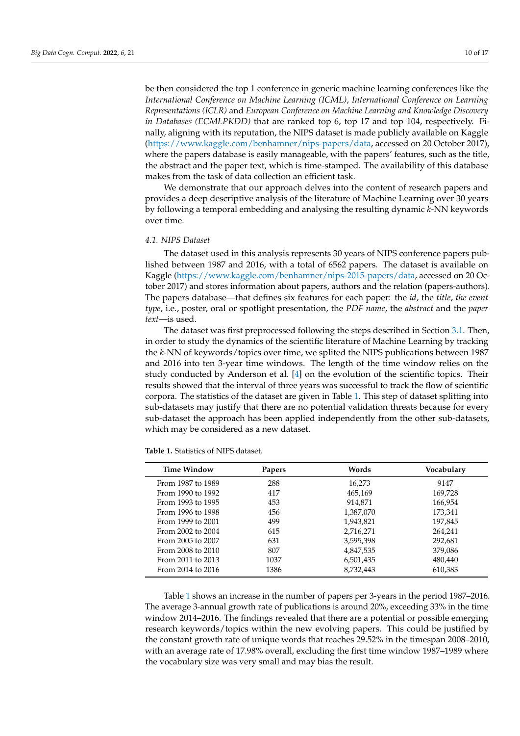be then considered the top 1 conference in generic machine learning conferences like the *International Conference on Machine Learning (ICML)*, *International Conference on Learning Representations (ICLR)* and *European Conference on Machine Learning and Knowledge Discovery in Databases (ECMLPKDD)* that are ranked top 6, top 17 and top 104, respectively. Finally, aligning with its reputation, the NIPS dataset is made publicly available on Kaggle [\(https://www.kaggle.com/benhamner/nips-papers/data,](https://www.kaggle.com/benhamner/nips-papers/data) accessed on 20 October 2017), where the papers database is easily manageable, with the papers' features, such as the title, the abstract and the paper text, which is time-stamped. The availability of this database makes from the task of data collection an efficient task.

We demonstrate that our approach delves into the content of research papers and provides a deep descriptive analysis of the literature of Machine Learning over 30 years by following a temporal embedding and analysing the resulting dynamic *k*-NN keywords over time.

#### <span id="page-9-1"></span>*4.1. NIPS Dataset*

The dataset used in this analysis represents 30 years of NIPS conference papers published between 1987 and 2016, with a total of 6562 papers. The dataset is available on Kaggle [\(https://www.kaggle.com/benhamner/nips-2015-papers/data,](https://www.kaggle.com/benhamner/nips-2015-papers/data) accessed on 20 October 2017) and stores information about papers, authors and the relation (papers-authors). The papers database—that defines six features for each paper: the *id*, the *title*, *the event type*, i.e., poster, oral or spotlight presentation, the *PDF name*, the *abstract* and the *paper text*—is used.

The dataset was first preprocessed following the steps described in Section [3.1.](#page-4-2) Then, in order to study the dynamics of the scientific literature of Machine Learning by tracking the *k*-NN of keywords/topics over time, we splited the NIPS publications between 1987 and 2016 into ten 3-year time windows. The length of the time window relies on the study conducted by Anderson et al. [\[4\]](#page-14-3) on the evolution of the scientific topics. Their results showed that the interval of three years was successful to track the flow of scientific corpora. The statistics of the dataset are given in Table [1.](#page-9-0) This step of dataset splitting into sub-datasets may justify that there are no potential validation threats because for every sub-dataset the approach has been applied independently from the other sub-datasets, which may be considered as a new dataset.

| Time Window       | <b>Papers</b> | Words     | Vocabulary |  |  |
|-------------------|---------------|-----------|------------|--|--|
| From 1987 to 1989 | 288           | 16,273    | 9147       |  |  |
| From 1990 to 1992 | 417           | 465,169   | 169,728    |  |  |
| From 1993 to 1995 | 453           | 914,871   | 166,954    |  |  |
| From 1996 to 1998 | 456           | 1,387,070 | 173,341    |  |  |
| From 1999 to 2001 | 499           | 1,943,821 | 197,845    |  |  |
| From 2002 to 2004 | 615           | 2,716,271 | 264,241    |  |  |
| From 2005 to 2007 | 631           | 3,595,398 | 292,681    |  |  |
| From 2008 to 2010 | 807           | 4,847,535 | 379,086    |  |  |
| From 2011 to 2013 | 1037          | 6,501,435 | 480,440    |  |  |
| From 2014 to 2016 | 1386          | 8,732,443 | 610,383    |  |  |

<span id="page-9-0"></span>**Table 1.** Statistics of NIPS dataset.

Table [1](#page-9-0) shows an increase in the number of papers per 3-years in the period 1987–2016. The average 3-annual growth rate of publications is around 20%, exceeding 33% in the time window 2014–2016. The findings revealed that there are a potential or possible emerging research keywords/topics within the new evolving papers. This could be justified by the constant growth rate of unique words that reaches 29.52% in the timespan 2008–2010, with an average rate of 17.98% overall, excluding the first time window 1987–1989 where the vocabulary size was very small and may bias the result.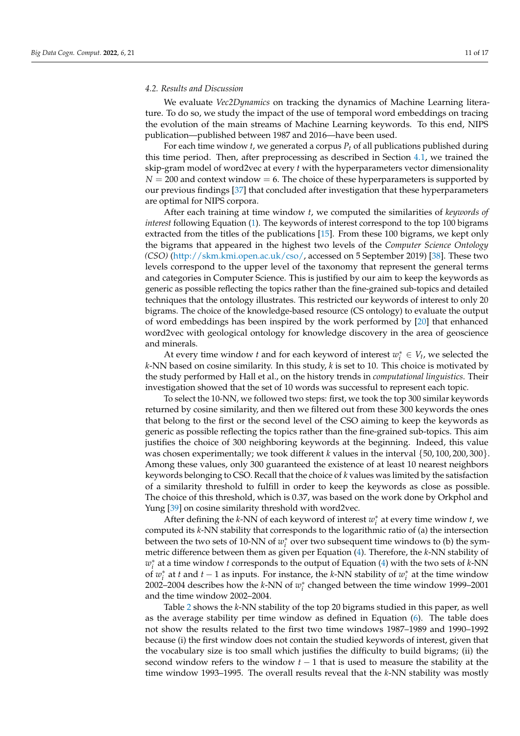#### *4.2. Results and Discussion*

We evaluate *Vec2Dynamics* on tracking the dynamics of Machine Learning literature. To do so, we study the impact of the use of temporal word embeddings on tracing the evolution of the main streams of Machine Learning keywords. To this end, NIPS publication—published between 1987 and 2016—have been used.

For each time window *t*, we generated a corpus *P<sup>t</sup>* of all publications published during this time period. Then, after preprocessing as described in Section [4.1,](#page-9-1) we trained the skip-gram model of word2vec at every *t* with the hyperparameters vector dimensionality  $N = 200$  and context window  $= 6$ . The choice of these hyperparameters is supported by our previous findings [\[37\]](#page-16-1) that concluded after investigation that these hyperparameters are optimal for NIPS corpora.

After each training at time window *t*, we computed the similarities of *keywords of interest* following Equation [\(1\)](#page-5-1). The keywords of interest correspond to the top 100 bigrams extracted from the titles of the publications [\[15\]](#page-15-6). From these 100 bigrams, we kept only the bigrams that appeared in the highest two levels of the *Computer Science Ontology (CSO)* [\(http://skm.kmi.open.ac.uk/cso/,](http://skm.kmi.open.ac.uk/cso/) accessed on 5 September 2019) [\[38\]](#page-16-2). These two levels correspond to the upper level of the taxonomy that represent the general terms and categories in Computer Science. This is justified by our aim to keep the keywords as generic as possible reflecting the topics rather than the fine-grained sub-topics and detailed techniques that the ontology illustrates. This restricted our keywords of interest to only 20 bigrams. The choice of the knowledge-based resource (CS ontology) to evaluate the output of word embeddings has been inspired by the work performed by [\[20\]](#page-15-12) that enhanced word2vec with geological ontology for knowledge discovery in the area of geoscience and minerals.

At every time window *t* and for each keyword of interest  $w_i^* \in V_t$ , we selected the *k*-NN based on cosine similarity. In this study, *k* is set to 10. This choice is motivated by the study performed by Hall et al., on the history trends in *computational linguistics*. Their investigation showed that the set of 10 words was successful to represent each topic.

To select the 10-NN, we followed two steps: first, we took the top 300 similar keywords returned by cosine similarity, and then we filtered out from these 300 keywords the ones that belong to the first or the second level of the CSO aiming to keep the keywords as generic as possible reflecting the topics rather than the fine-grained sub-topics. This aim justifies the choice of 300 neighboring keywords at the beginning. Indeed, this value was chosen experimentally; we took different *k* values in the interval {50, 100, 200, 300}. Among these values, only 300 guaranteed the existence of at least 10 nearest neighbors keywords belonging to CSO. Recall that the choice of *k* values was limited by the satisfaction of a similarity threshold to fulfill in order to keep the keywords as close as possible. The choice of this threshold, which is 0.37, was based on the work done by Orkphol and Yung [\[39\]](#page-16-3) on cosine similarity threshold with word2vec.

After defining the *k*-NN of each keyword of interest  $w_i^*$  at every time window *t*, we computed its *k*-NN stability that corresponds to the logarithmic ratio of (a) the intersection between the two sets of 10-NN of  $w_i^*$  over two subsequent time windows to (b) the symmetric difference between them as given per Equation [\(4\)](#page-7-0). Therefore, the *k*-NN stability of  $w_i^*$  at a time window *t* corresponds to the output of Equation [\(4\)](#page-7-0) with the two sets of *k*-NN of  $w_i^*$  at *t* and *t* − 1 as inputs. For instance, the *k*-NN stability of  $w_i^*$  at the time window 2002–2004 describes how the  $k$ -NN of  $w_i^*$  changed between the time window 1999–2001 and the time window 2002–2004.

Table [2](#page-11-0) shows the *k*-NN stability of the top 20 bigrams studied in this paper, as well as the average stability per time window as defined in Equation [\(6\)](#page-7-1). The table does not show the results related to the first two time windows 1987–1989 and 1990–1992 because (i) the first window does not contain the studied keywords of interest, given that the vocabulary size is too small which justifies the difficulty to build bigrams; (ii) the second window refers to the window  $t-1$  that is used to measure the stability at the time window 1993–1995. The overall results reveal that the *k*-NN stability was mostly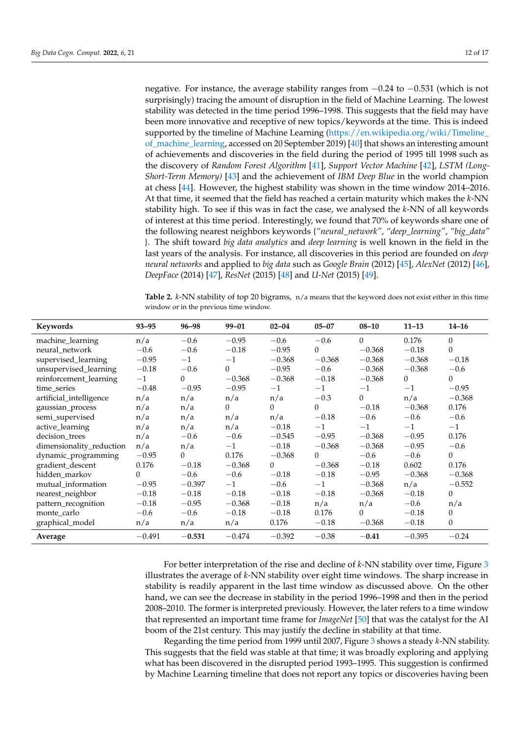negative. For instance, the average stability ranges from −0.24 to −0.531 (which is not surprisingly) tracing the amount of disruption in the field of Machine Learning. The lowest stability was detected in the time period 1996–1998. This suggests that the field may have been more innovative and receptive of new topics/keywords at the time. This is indeed supported by the timeline of Machine Learning [\(https://en.wikipedia.org/wiki/Timeline\\_](https://en.wikipedia.org/wiki/Timeline_of_machine_learning) [of\\_machine\\_learning,](https://en.wikipedia.org/wiki/Timeline_of_machine_learning) accessed on 20 September 2019) [\[40\]](#page-16-4) that shows an interesting amount of achievements and discoveries in the field during the period of 1995 till 1998 such as the discovery of *Random Forest Algorithm* [\[41\]](#page-16-5), *Support Vector Machine* [\[42\]](#page-16-6), *LSTM (Long-Short-Term Memory)* [\[43\]](#page-16-7) and the achievement of *IBM Deep Blue* in the world champion at chess [\[44\]](#page-16-8). However, the highest stability was shown in the time window 2014–2016. At that time, it seemed that the field has reached a certain maturity which makes the *k*-NN stability high. To see if this was in fact the case, we analysed the *k*-NN of all keywords of interest at this time period. Interestingly, we found that 70% of keywords share one of the following nearest neighbors keywords {*"neural\_network"*, *"deep\_learning"*, *"big\_data"* }. The shift toward *big data analytics* and *deep learning* is well known in the field in the last years of the analysis. For instance, all discoveries in this period are founded on *deep neural networks* and applied to *big data* such as *Google Brain* (2012) [\[45\]](#page-16-9), *AlexNet* (2012) [\[46\]](#page-16-10), *DeepFace* (2014) [\[47\]](#page-16-11), *ResNet* (2015) [\[48\]](#page-16-12) and *U-Net* (2015) [\[49\]](#page-16-13).

<span id="page-11-0"></span>**Table 2.** *k*-NN stability of top 20 bigrams, n/a means that the keyword does not exist either in this time window or in the previous time window.

| Keywords                 | $93 - 95$ | $96 - 98$ | 99-01    | $02 - 04$ | $05 - 07$ | $08 - 10$ | $11 - 13$ | $14 - 16$ |
|--------------------------|-----------|-----------|----------|-----------|-----------|-----------|-----------|-----------|
| machine_learning         | n/a       | $-0.6$    | $-0.95$  | $-0.6$    | $-0.6$    | $\Omega$  | 0.176     | $\Omega$  |
| neural network           | $-0.6$    | $-0.6$    | $-0.18$  | $-0.95$   | $\Omega$  | $-0.368$  | $-0.18$   | $\Omega$  |
| supervised_learning      | $-0.95$   | $-1$      | $-1$     | $-0.368$  | $-0.368$  | $-0.368$  | $-0.368$  | $-0.18$   |
| unsupervised_learning    | $-0.18$   | $-0.6$    | $\Omega$ | $-0.95$   | $-0.6$    | $-0.368$  | $-0.368$  | $-0.6$    |
| reinforcement_learning   | $-1$      | $\Omega$  | $-0.368$ | $-0.368$  | $-0.18$   | $-0.368$  | $\Omega$  | $\Omega$  |
| time_series              | $-0.48$   | $-0.95$   | $-0.95$  | $-1$      | $-1$      | $-1$      | $-1$      | $-0.95$   |
| artificial_intelligence  | n/a       | n/a       | n/a      | n/a       | $-0.3$    | $\Omega$  | n/a       | $-0.368$  |
| gaussian_process         | n/a       | n/a       | $\Omega$ | $\Omega$  | $\Omega$  | $-0.18$   | $-0.368$  | 0.176     |
| semi supervised          | n/a       | n/a       | n/a      | n/a       | $-0.18$   | $-0.6$    | $-0.6$    | $-0.6$    |
| active_learning          | n/a       | n/a       | n/a      | $-0.18$   | $-1$      | $-1$      | $-1$      | $-1$      |
| decision trees           | n/a       | $-0.6$    | $-0.6$   | $-0.545$  | $-0.95$   | $-0.368$  | $-0.95$   | 0.176     |
| dimensionality_reduction | n/a       | n/a       | $-1$     | $-0.18$   | $-0.368$  | $-0.368$  | $-0.95$   | $-0.6$    |
| dynamic_programming      | $-0.95$   | $\Omega$  | 0.176    | $-0.368$  | $\Omega$  | $-0.6$    | $-0.6$    | $\Omega$  |
| gradient_descent         | 0.176     | $-0.18$   | $-0.368$ | $\Omega$  | $-0.368$  | $-0.18$   | 0.602     | 0.176     |
| hidden_markov            | $\Omega$  | $-0.6$    | $-0.6$   | $-0.18$   | $-0.18$   | $-0.95$   | $-0.368$  | $-0.368$  |
| mutual information       | $-0.95$   | $-0.397$  | $-1$     | $-0.6$    | $-1$      | $-0.368$  | n/a       | $-0.552$  |
| nearest_neighbor         | $-0.18$   | $-0.18$   | $-0.18$  | $-0.18$   | $-0.18$   | $-0.368$  | $-0.18$   | $\Omega$  |
| pattern_recognition      | $-0.18$   | $-0.95$   | $-0.368$ | $-0.18$   | n/a       | n/a       | $-0.6$    | n/a       |
| monte carlo              | $-0.6$    | $-0.6$    | $-0.18$  | $-0.18$   | 0.176     | $\Omega$  | $-0.18$   | $\Omega$  |
| graphical_model          | n/a       | n/a       | n/a      | 0.176     | $-0.18$   | $-0.368$  | $-0.18$   | $\theta$  |
| Average                  | $-0.491$  | $-0.531$  | $-0.474$ | $-0.392$  | $-0.38$   | $-0.41$   | $-0.395$  | $-0.24$   |

For better interpretation of the rise and decline of *k*-NN stability over time, Figure [3](#page-12-0) illustrates the average of *k*-NN stability over eight time windows. The sharp increase in stability is readily apparent in the last time window as discussed above. On the other hand, we can see the decrease in stability in the period 1996–1998 and then in the period 2008–2010. The former is interpreted previously. However, the later refers to a time window that represented an important time frame for *ImageNet* [\[50\]](#page-16-14) that was the catalyst for the AI boom of the 21st century. This may justify the decline in stability at that time.

Regarding the time period from 1999 until 2007, Figure [3](#page-12-0) shows a steady *k*-NN stability. This suggests that the field was stable at that time; it was broadly exploring and applying what has been discovered in the disrupted period 1993–1995. This suggestion is confirmed by Machine Learning timeline that does not report any topics or discoveries having been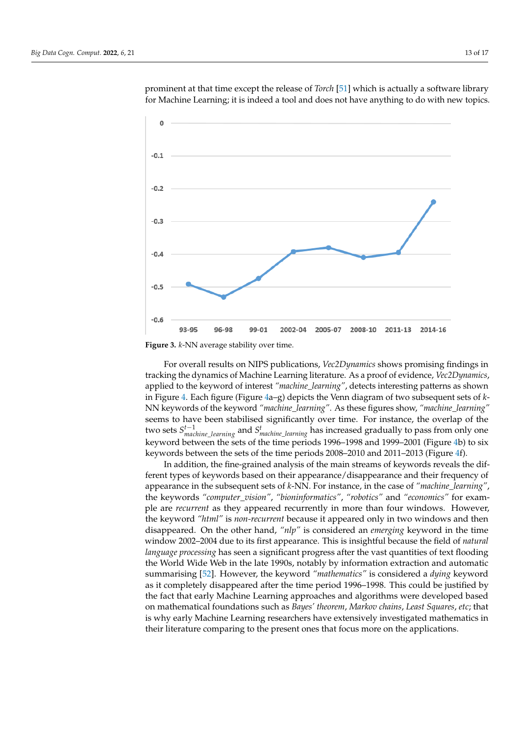<span id="page-12-0"></span>

prominent at that time except the release of *Torch* [\[51\]](#page-16-15) which is actually a software library for Machine Learning; it is indeed a tool and does not have anything to do with new topics.

For overall results on NIPS publications, *Vec2Dynamics* shows promising findings in tracking the dynamics of Machine Learning literature. As a proof of evidence, *Vec2Dynamics*, applied to the keyword of interest *"machine\_learning"*, detects interesting patterns as shown in Figure [4.](#page-13-1) Each figure (Figure [4a](#page-13-1)–g) depicts the Venn diagram of two subsequent sets of *k*-NN keywords of the keyword *"machine\_learning"*. As these figures show, *"machine\_learning"* seems to have been stabilised significantly over time. For instance, the overlap of the two sets *S*<sup>t−1</sup><sub>*machine\_learning* and *S*<sup>t</sup><sub>*machine\_learning* has increased gradually to pass from only one</sub></sub> keyword between the sets of the time periods 1996–1998 and 1999–2001 (Figure [4b](#page-13-1)) to six keywords between the sets of the time periods 2008–2010 and 2011–2013 (Figure [4f](#page-13-1)).

In addition, the fine-grained analysis of the main streams of keywords reveals the different types of keywords based on their appearance/disappearance and their frequency of appearance in the subsequent sets of *k*-NN. For instance, in the case of *"machine\_learning"*, the keywords *"computer\_vision"*, *"bioninformatics"*, *"robotics"* and *"economics"* for example are *recurrent* as they appeared recurrently in more than four windows. However, the keyword *"html"* is *non-recurrent* because it appeared only in two windows and then disappeared. On the other hand, *"nlp"* is considered an *emerging* keyword in the time window 2002–2004 due to its first appearance. This is insightful because the field of *natural language processing* has seen a significant progress after the vast quantities of text flooding the World Wide Web in the late 1990s, notably by information extraction and automatic summarising [\[52\]](#page-16-16). However, the keyword *"mathematics"* is considered a *dying* keyword as it completely disappeared after the time period 1996–1998. This could be justified by the fact that early Machine Learning approaches and algorithms were developed based on mathematical foundations such as *Bayes' theorem*, *Markov chains*, *Least Squares*, *etc*; that is why early Machine Learning researchers have extensively investigated mathematics in their literature comparing to the present ones that focus more on the applications.

**Figure 3.** *k*-NN average stability over time.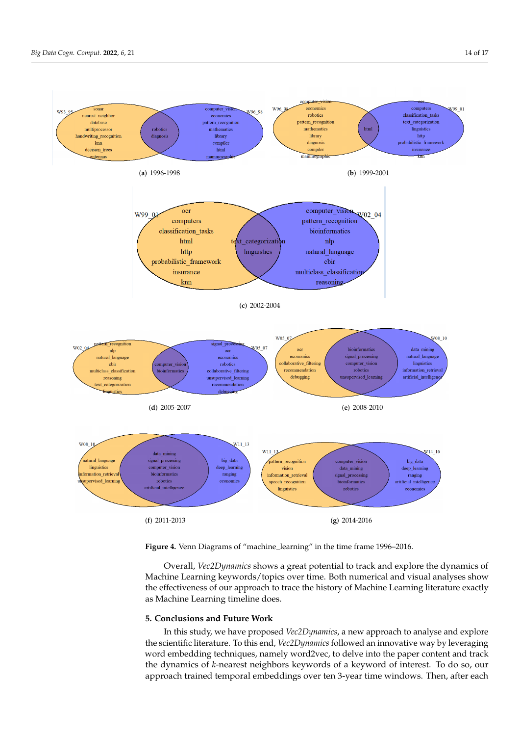<span id="page-13-1"></span>

**Figure 4.** Venn Diagrams of "machine\_learning" in the time frame 1996–2016.

Overall, *Vec2Dynamics* shows a great potential to track and explore the dynamics of Machine Learning keywords/topics over time. Both numerical and visual analyses show the effectiveness of our approach to trace the history of Machine Learning literature exactly as Machine Learning timeline does.

## <span id="page-13-0"></span>**5. Conclusions and Future Work**

In this study, we have proposed *Vec2Dynamics*, a new approach to analyse and explore the scientific literature. To this end, *Vec2Dynamics* followed an innovative way by leveraging word embedding techniques, namely word2vec, to delve into the paper content and track the dynamics of *k*-nearest neighbors keywords of a keyword of interest. To do so, our approach trained temporal embeddings over ten 3-year time windows. Then, after each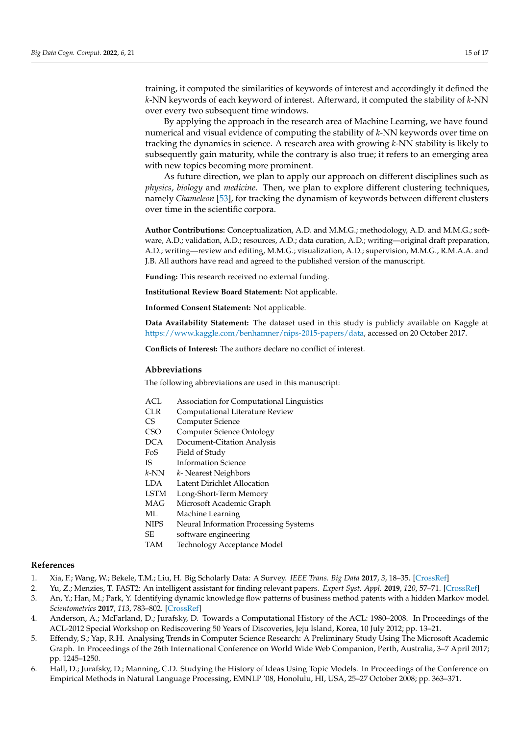training, it computed the similarities of keywords of interest and accordingly it defined the *k*-NN keywords of each keyword of interest. Afterward, it computed the stability of *k*-NN over every two subsequent time windows.

By applying the approach in the research area of Machine Learning, we have found numerical and visual evidence of computing the stability of *k*-NN keywords over time on tracking the dynamics in science. A research area with growing *k*-NN stability is likely to subsequently gain maturity, while the contrary is also true; it refers to an emerging area with new topics becoming more prominent.

As future direction, we plan to apply our approach on different disciplines such as *physics*, *biology* and *medicine*. Then, we plan to explore different clustering techniques, namely *Chameleon* [\[53\]](#page-16-17), for tracking the dynamism of keywords between different clusters over time in the scientific corpora.

**Author Contributions:** Conceptualization, A.D. and M.M.G.; methodology, A.D. and M.M.G.; software, A.D.; validation, A.D.; resources, A.D.; data curation, A.D.; writing—original draft preparation, A.D.; writing—review and editing, M.M.G.; visualization, A.D.; supervision, M.M.G., R.M.A.A. and J.B. All authors have read and agreed to the published version of the manuscript.

**Funding:** This research received no external funding.

**Institutional Review Board Statement:** Not applicable.

**Informed Consent Statement:** Not applicable.

**Data Availability Statement:** The dataset used in this study is publicly available on Kaggle at [https://www.kaggle.com/benhamner/nips-2015-papers/data,](https://www.kaggle.com/benhamner/nips-2015-papers/data) accessed on 20 October 2017.

**Conflicts of Interest:** The authors declare no conflict of interest.

## **Abbreviations**

The following abbreviations are used in this manuscript:

- ACL Association for Computational Linguistics
- CLR Computational Literature Review
- CS Computer Science
- CSO Computer Science Ontology
- DCA Document-Citation Analysis
- FoS Field of Study
- IS Information Science
- *k*-NN *k* Nearest Neighbors
- LDA Latent Dirichlet Allocation
- LSTM Long-Short-Term Memory
- MAG Microsoft Academic Graph
- ML Machine Learning
- NIPS Neural Information Processing Systems
- SE software engineering
- TAM Technology Acceptance Model

#### **References**

- <span id="page-14-0"></span>1. Xia, F.; Wang, W.; Bekele, T.M.; Liu, H. Big Scholarly Data: A Survey. *IEEE Trans. Big Data* **2017**, *3*, 18–35. [\[CrossRef\]](http://doi.org/10.1109/TBDATA.2016.2641460)
- <span id="page-14-1"></span>2. Yu, Z.; Menzies, T. FAST2: An intelligent assistant for finding relevant papers. *Expert Syst. Appl.* **2019**, *120*, 57–71. [\[CrossRef\]](http://dx.doi.org/10.1016/j.eswa.2018.11.021)
- <span id="page-14-2"></span>3. An, Y.; Han, M.; Park, Y. Identifying dynamic knowledge flow patterns of business method patents with a hidden Markov model. *Scientometrics* **2017**, *113*, 783–802. [\[CrossRef\]](http://dx.doi.org/10.1007/s11192-017-2514-8)
- <span id="page-14-3"></span>4. Anderson, A.; McFarland, D.; Jurafsky, D. Towards a Computational History of the ACL: 1980–2008. In Proceedings of the ACL-2012 Special Workshop on Rediscovering 50 Years of Discoveries, Jeju Island, Korea, 10 July 2012; pp. 13–21.
- <span id="page-14-5"></span>5. Effendy, S.; Yap, R.H. Analysing Trends in Computer Science Research: A Preliminary Study Using The Microsoft Academic Graph. In Proceedings of the 26th International Conference on World Wide Web Companion, Perth, Australia, 3–7 April 2017; pp. 1245–1250.
- <span id="page-14-4"></span>6. Hall, D.; Jurafsky, D.; Manning, C.D. Studying the History of Ideas Using Topic Models. In Proceedings of the Conference on Empirical Methods in Natural Language Processing, EMNLP '08, Honolulu, HI, USA, 25–27 October 2008; pp. 363–371.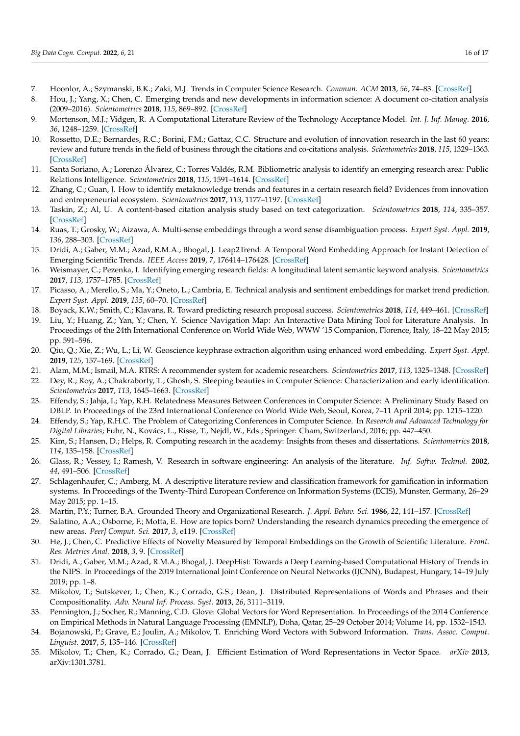- <span id="page-15-4"></span>7. Hoonlor, A.; Szymanski, B.K.; Zaki, M.J. Trends in Computer Science Research. *Commun. ACM* **2013**, *56*, 74–83. [\[CrossRef\]](http://dx.doi.org/10.1145/2500892)
- <span id="page-15-5"></span>8. Hou, J.; Yang, X.; Chen, C. Emerging trends and new developments in information science: A document co-citation analysis (2009–2016). *Scientometrics* **2018**, *115*, 869–892. [\[CrossRef\]](http://dx.doi.org/10.1007/s11192-018-2695-9)
- <span id="page-15-2"></span>9. Mortenson, M.J.; Vidgen, R. A Computational Literature Review of the Technology Acceptance Model. *Int. J. Inf. Manag.* **2016**, *36*, 1248–1259. [\[CrossRef\]](http://dx.doi.org/10.1016/j.ijinfomgt.2016.07.007)
- <span id="page-15-7"></span>10. Rossetto, D.E.; Bernardes, R.C.; Borini, F.M.; Gattaz, C.C. Structure and evolution of innovation research in the last 60 years: review and future trends in the field of business through the citations and co-citations analysis. *Scientometrics* **2018**, *115*, 1329–1363. [\[CrossRef\]](http://dx.doi.org/10.1007/s11192-018-2709-7)
- 11. Santa Soriano, A.; Lorenzo Álvarez, C.; Torres Valdés, R.M. Bibliometric analysis to identify an emerging research area: Public Relations Intelligence. *Scientometrics* **2018**, *115*, 1591–1614. [\[CrossRef\]](http://dx.doi.org/10.1007/s11192-018-2651-8)
- <span id="page-15-0"></span>12. Zhang, C.; Guan, J. How to identify metaknowledge trends and features in a certain research field? Evidences from innovation and entrepreneurial ecosystem. *Scientometrics* **2017**, *113*, 1177–1197. [\[CrossRef\]](http://dx.doi.org/10.1007/s11192-017-2503-y)
- <span id="page-15-1"></span>13. Taskin, Z.; Al, U. A content-based citation analysis study based on text categorization. *Scientometrics* **2018**, *114*, 335–357. [\[CrossRef\]](http://dx.doi.org/10.1007/s11192-017-2560-2)
- <span id="page-15-3"></span>14. Ruas, T.; Grosky, W.; Aizawa, A. Multi-sense embeddings through a word sense disambiguation process. *Expert Syst. Appl.* **2019**, *136*, 288–303. [\[CrossRef\]](http://dx.doi.org/10.1016/j.eswa.2019.06.026)
- <span id="page-15-6"></span>15. Dridi, A.; Gaber, M.M.; Azad, R.M.A.; Bhogal, J. Leap2Trend: A Temporal Word Embedding Approach for Instant Detection of Emerging Scientific Trends. *IEEE Access* **2019**, *7*, 176414–176428. [\[CrossRef\]](http://dx.doi.org/10.1109/ACCESS.2019.2957440)
- <span id="page-15-8"></span>16. Weismayer, C.; Pezenka, I. Identifying emerging research fields: A longitudinal latent semantic keyword analysis. *Scientometrics* **2017**, *113*, 1757–1785. [\[CrossRef\]](http://dx.doi.org/10.1007/s11192-017-2555-z)
- <span id="page-15-9"></span>17. Picasso, A.; Merello, S.; Ma, Y.; Oneto, L.; Cambria, E. Technical analysis and sentiment embeddings for market trend prediction. *Expert Syst. Appl.* **2019**, *135*, 60–70. [\[CrossRef\]](http://dx.doi.org/10.1016/j.eswa.2019.06.014)
- <span id="page-15-10"></span>18. Boyack, K.W.; Smith, C.; Klavans, R. Toward predicting research proposal success. *Scientometrics* **2018**, *114*, 449–461. [\[CrossRef\]](http://dx.doi.org/10.1007/s11192-017-2609-2)
- <span id="page-15-11"></span>19. Liu, Y.; Huang, Z.; Yan, Y.; Chen, Y. Science Navigation Map: An Interactive Data Mining Tool for Literature Analysis. In Proceedings of the 24th International Conference on World Wide Web, WWW '15 Companion, Florence, Italy, 18–22 May 2015; pp. 591–596.
- <span id="page-15-12"></span>20. Qiu, Q.; Xie, Z.; Wu, L.; Li, W. Geoscience keyphrase extraction algorithm using enhanced word embedding. *Expert Syst. Appl.* **2019**, *125*, 157–169. [\[CrossRef\]](http://dx.doi.org/10.1016/j.eswa.2019.02.001)
- <span id="page-15-13"></span>21. Alam, M.M.; Ismail, M.A. RTRS: A recommender system for academic researchers. *Scientometrics* **2017**, *113*, 1325–1348. [\[CrossRef\]](http://dx.doi.org/10.1007/s11192-017-2548-y)
- 22. Dey, R.; Roy, A.; Chakraborty, T.; Ghosh, S. Sleeping beauties in Computer Science: Characterization and early identification. *Scientometrics* **2017**, *113*, 1645–1663. [\[CrossRef\]](http://dx.doi.org/10.1007/s11192-017-2543-3)
- 23. Effendy, S.; Jahja, I.; Yap, R.H. Relatedness Measures Between Conferences in Computer Science: A Preliminary Study Based on DBLP. In Proceedings of the 23rd International Conference on World Wide Web, Seoul, Korea, 7–11 April 2014; pp. 1215–1220.
- 24. Effendy, S.; Yap, R.H.C. The Problem of Categorizing Conferences in Computer Science. In *Research and Advanced Technology for Digital Libraries*; Fuhr, N., Kovács, L., Risse, T., Nejdl, W., Eds.; Springer: Cham, Switzerland, 2016; pp. 447–450.
- <span id="page-15-14"></span>25. Kim, S.; Hansen, D.; Helps, R. Computing research in the academy: Insights from theses and dissertations. *Scientometrics* **2018**, *114*, 135–158. [\[CrossRef\]](http://dx.doi.org/10.1007/s11192-017-2572-y)
- <span id="page-15-15"></span>26. Glass, R.; Vessey, I.; Ramesh, V. Research in software engineering: An analysis of the literature. *Inf. Softw. Technol.* **2002**, *44*, 491–506. [\[CrossRef\]](http://dx.doi.org/10.1016/S0950-5849(02)00049-6)
- <span id="page-15-16"></span>27. Schlagenhaufer, C.; Amberg, M. A descriptive literature review and classification framework for gamification in information systems. In Proceedings of the Twenty-Third European Conference on Information Systems (ECIS), Münster, Germany, 26–29 May 2015; pp. 1–15.
- <span id="page-15-17"></span>28. Martin, P.Y.; Turner, B.A. Grounded Theory and Organizational Research. *J. Appl. Behav. Sci.* **1986**, *22*, 141–157. [\[CrossRef\]](http://dx.doi.org/10.1177/002188638602200207)
- <span id="page-15-18"></span>29. Salatino, A.A.; Osborne, F.; Motta, E. How are topics born? Understanding the research dynamics preceding the emergence of new areas. *PeerJ Comput. Sci.* **2017**, *3*, e119. [\[CrossRef\]](http://dx.doi.org/10.7717/peerj-cs.119)
- <span id="page-15-19"></span>30. He, J.; Chen, C. Predictive Effects of Novelty Measured by Temporal Embeddings on the Growth of Scientific Literature. *Front. Res. Metrics Anal.* **2018**, *3*, 9. [\[CrossRef\]](http://dx.doi.org/10.3389/frma.2018.00009)
- <span id="page-15-20"></span>31. Dridi, A.; Gaber, M.M.; Azad, R.M.A.; Bhogal, J. DeepHist: Towards a Deep Learning-based Computational History of Trends in the NIPS. In Proceedings of the 2019 International Joint Conference on Neural Networks (IJCNN), Budapest, Hungary, 14–19 July 2019; pp. 1–8.
- <span id="page-15-21"></span>32. Mikolov, T.; Sutskever, I.; Chen, K.; Corrado, G.S.; Dean, J. Distributed Representations of Words and Phrases and their Compositionality. *Adv. Neural Inf. Process. Syst.* **2013**, *26*, 3111–3119.
- <span id="page-15-22"></span>33. Pennington, J.; Socher, R.; Manning, C.D. Glove: Global Vectors for Word Representation. In Proceedings of the 2014 Conference on Empirical Methods in Natural Language Processing (EMNLP), Doha, Qatar, 25–29 October 2014; Volume 14, pp. 1532–1543.
- <span id="page-15-23"></span>34. Bojanowski, P.; Grave, E.; Joulin, A.; Mikolov, T. Enriching Word Vectors with Subword Information. *Trans. Assoc. Comput. Linguist.* **2017**, *5*, 135–146. [\[CrossRef\]](http://dx.doi.org/10.1162/tacl_a_00051)
- <span id="page-15-24"></span>35. Mikolov, T.; Chen, K.; Corrado, G.; Dean, J. Efficient Estimation of Word Representations in Vector Space. *arXiv* **2013**, arXiv:1301.3781.